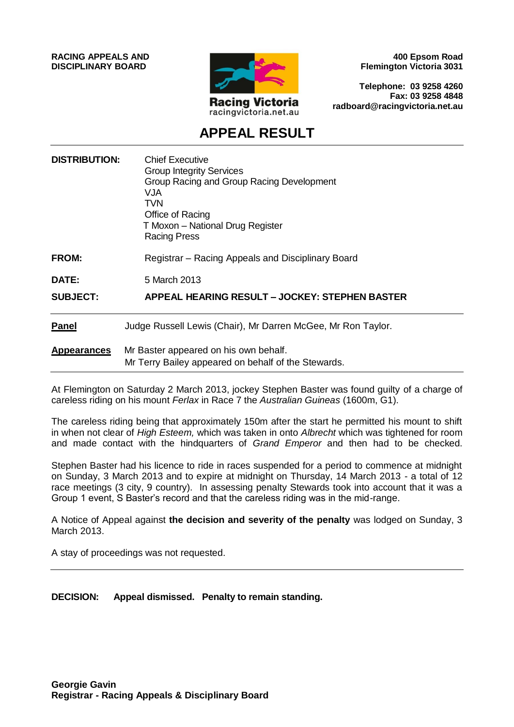**RACING APPEALS AND DISCIPLINARY BOARD**



**400 Epsom Road Flemington Victoria 3031**

**Telephone: 03 9258 4260 Fax: 03 9258 4848 radboard@racingvictoria.net.au**

# **APPEAL RESULT**

| <b>DISTRIBUTION:</b> | <b>Chief Executive</b><br><b>Group Integrity Services</b><br>Group Racing and Group Racing Development<br>VJA<br>TVN<br>Office of Racing<br>T Moxon - National Drug Register<br>Racing Press |
|----------------------|----------------------------------------------------------------------------------------------------------------------------------------------------------------------------------------------|
| <b>FROM:</b>         | Registrar - Racing Appeals and Disciplinary Board                                                                                                                                            |
| <b>DATE:</b>         | 5 March 2013                                                                                                                                                                                 |
| <b>SUBJECT:</b>      | APPEAL HEARING RESULT - JOCKEY: STEPHEN BASTER                                                                                                                                               |
| Panel                | Judge Russell Lewis (Chair), Mr Darren McGee, Mr Ron Taylor.                                                                                                                                 |
| <b>Appearances</b>   | Mr Baster appeared on his own behalf.<br>Mr Terry Bailey appeared on behalf of the Stewards.                                                                                                 |

At Flemington on Saturday 2 March 2013, jockey Stephen Baster was found guilty of a charge of careless riding on his mount *Ferlax* in Race 7 the *Australian Guineas* (1600m, G1).

The careless riding being that approximately 150m after the start he permitted his mount to shift in when not clear of *High Esteem,* which was taken in onto *Albrecht* which was tightened for room and made contact with the hindquarters of *Grand Emperor* and then had to be checked.

Stephen Baster had his licence to ride in races suspended for a period to commence at midnight on Sunday, 3 March 2013 and to expire at midnight on Thursday, 14 March 2013 - a total of 12 race meetings (3 city, 9 country). In assessing penalty Stewards took into account that it was a Group 1 event, S Baster's record and that the careless riding was in the mid-range.

A Notice of Appeal against **the decision and severity of the penalty** was lodged on Sunday, 3 March 2013.

A stay of proceedings was not requested.

**DECISION: Appeal dismissed. Penalty to remain standing.**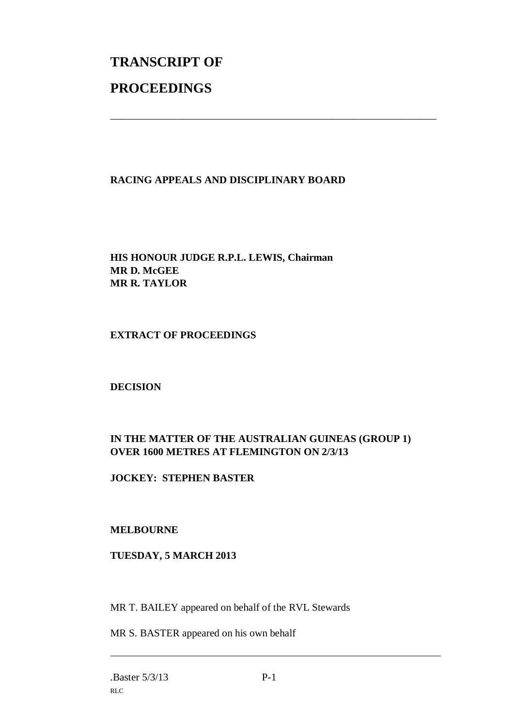# **TRANSCRIPT OF PROCEEDINGS**

# **RACING APPEALS AND DISCIPLINARY BOARD**

\_\_\_\_\_\_\_\_\_\_\_\_\_\_\_\_\_\_\_\_\_\_\_\_\_\_\_\_\_\_\_\_\_\_\_\_\_\_\_\_\_\_\_\_\_\_\_\_\_\_\_\_\_\_\_\_\_\_\_\_\_\_\_

**HIS HONOUR JUDGE R.P.L. LEWIS, Chairman MR D. McGEE MR R. TAYLOR**

#### **EXTRACT OF PROCEEDINGS**

#### **DECISION**

# **IN THE MATTER OF THE AUSTRALIAN GUINEAS (GROUP 1) OVER 1600 METRES AT FLEMINGTON ON 2/3/13**

**JOCKEY: STEPHEN BASTER**

#### **MELBOURNE**

### **TUESDAY, 5 MARCH 2013**

MR T. BAILEY appeared on behalf of the RVL Stewards

MR S. BASTER appeared on his own behalf